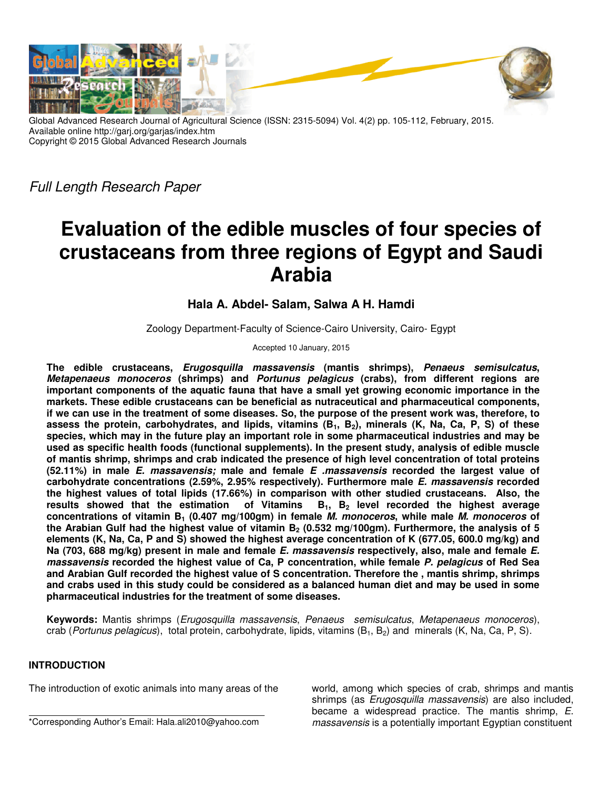

Global Advanced Research Journal of Agricultural Science (ISSN: 2315-5094) Vol. 4(2) pp. 105-112, February, 2015. Available online http://garj.org/garjas/index.htm Copyright © 2015 Global Advanced Research Journals

Full Length Research Paper

# **Evaluation of the edible muscles of four species of crustaceans from three regions of Egypt and Saudi Arabia**

## **Hala A. Abdel- Salam, Salwa A H. Hamdi**

Zoology Department-Faculty of Science-Cairo University, Cairo- Egypt

Accepted 10 January, 2015

**The edible crustaceans, Erugosquilla massavensis (mantis shrimps), Penaeus semisulcatus, Metapenaeus monoceros (shrimps) and Portunus pelagicus (crabs), from different regions are important components of the aquatic fauna that have a small yet growing economic importance in the markets. These edible crustaceans can be beneficial as nutraceutical and pharmaceutical components, if we can use in the treatment of some diseases. So, the purpose of the present work was, therefore, to assess the protein, carbohydrates, and lipids, vitamins (B1, B2), minerals (K, Na, Ca, P, S) of these species, which may in the future play an important role in some pharmaceutical industries and may be used as specific health foods (functional supplements). In the present study, analysis of edible muscle of mantis shrimp, shrimps and crab indicated the presence of high level concentration of total proteins (52.11%) in male E. massavensis; male and female E .massavensis recorded the largest value of carbohydrate concentrations (2.59%, 2.95% respectively). Furthermore male E. massavensis recorded the highest values of total lipids (17.66%) in comparison with other studied crustaceans. Also, the results showed that the estimation of Vitamins B1, B2 level recorded the highest average concentrations of vitamin B1 (0.407 mg/100gm) in female M. monoceros, while male M. monoceros of the Arabian Gulf had the highest value of vitamin B2 (0.532 mg/100gm). Furthermore, the analysis of 5 elements (K, Na, Ca, P and S) showed the highest average concentration of K (677.05, 600.0 mg/kg) and Na (703, 688 mg/kg) present in male and female E. massavensis respectively, also, male and female E. massavensis recorded the highest value of Ca, P concentration, while female P. pelagicus of Red Sea and Arabian Gulf recorded the highest value of S concentration. Therefore the , mantis shrimp, shrimps and crabs used in this study could be considered as a balanced human diet and may be used in some pharmaceutical industries for the treatment of some diseases.** 

**Keywords:** Mantis shrimps (Erugosquilla massavensis, Penaeus semisulcatus, Metapenaeus monoceros), crab (Portunus pelagicus), total protein, carbohydrate, lipids, vitamins  $(B_1, B_2)$  and minerals (K, Na, Ca, P, S).

### **INTRODUCTION**

The introduction of exotic animals into many areas of the

world, among which species of crab, shrimps and mantis shrimps (as *Erugosquilla massavensis*) are also included, became a widespread practice. The mantis shrimp, E. massavensis is a potentially important Egyptian constituent

<sup>\*</sup>Corresponding Author's Email: Hala.ali2010@yahoo.com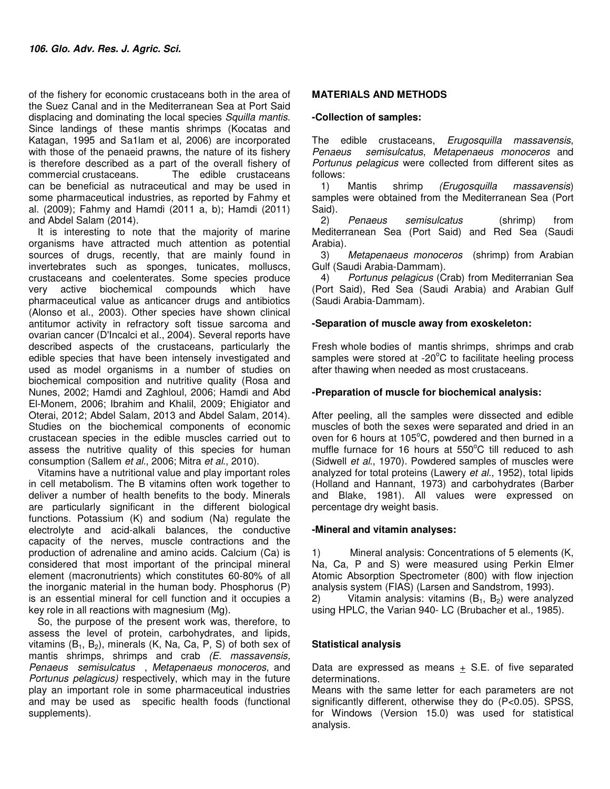of the fishery for economic crustaceans both in the area of the Suez Canal and in the Mediterranean Sea at Port Said displacing and dominating the local species Squilla mantis. Since landings of these mantis shrimps (Kocatas and Katagan, 1995 and Sa1lam et al, 2006) are incorporated with those of the penaeid prawns, the nature of its fishery is therefore described as a part of the overall fishery of commercial crustaceans. The edible crustaceans can be beneficial as nutraceutical and may be used in some pharmaceutical industries, as reported by Fahmy et al. (2009); Fahmy and Hamdi (2011 a, b); Hamdi (2011) and Abdel Salam (2014).

It is interesting to note that the majority of marine organisms have attracted much attention as potential sources of drugs, recently, that are mainly found in invertebrates such as sponges, tunicates, molluscs, crustaceans and coelenterates. Some species produce very active biochemical compounds which have pharmaceutical value as anticancer drugs and antibiotics (Alonso et al., 2003). Other species have shown clinical antitumor activity in refractory soft tissue sarcoma and ovarian cancer (D'Incalci et al., 2004). Several reports have described aspects of the crustaceans, particularly the edible species that have been intensely investigated and used as model organisms in a number of studies on biochemical composition and nutritive quality (Rosa and Nunes, 2002; Hamdi and Zaghloul, 2006; Hamdi and Abd El-Monem, 2006; Ibrahim and Khalil, 2009; Ehigiator and Oterai, 2012; Abdel Salam, 2013 and Abdel Salam, 2014). Studies on the biochemical components of economic crustacean species in the edible muscles carried out to assess the nutritive quality of this species for human consumption (Sallem et al., 2006; Mitra et al., 2010).

Vitamins have a nutritional value and play important roles in cell metabolism. The B vitamins often work together to deliver a number of health benefits to the body. Minerals are particularly significant in the different biological functions. Potassium (K) and sodium (Na) regulate the electrolyte and acid-alkali balances, the conductive capacity of the nerves, muscle contractions and the production of adrenaline and amino acids. Calcium (Ca) is considered that most important of the principal mineral element (macronutrients) which constitutes 60-80% of all the inorganic material in the human body. Phosphorus (P) is an essential mineral for cell function and it occupies a key role in all reactions with magnesium (Mg).

So, the purpose of the present work was, therefore, to assess the level of protein, carbohydrates, and lipids, vitamins  $(B_1, B_2)$ , minerals  $(K, Na, Ca, P, S)$  of both sex of mantis shrimps, shrimps and crab (E. massavensis, Penaeus semisulcatus , Metapenaeus monoceros, and Portunus pelagicus) respectively, which may in the future play an important role in some pharmaceutical industries and may be used as specific health foods (functional supplements).

#### **MATERIALS AND METHODS**

#### **-Collection of samples:**

The edible crustaceans, Erugosquilla massavensis, Penaeus semisulcatus, Metapenaeus monoceros and Portunus pelagicus were collected from different sites as follows:

1) Mantis shrimp (Erugosquilla massavensis) samples were obtained from the Mediterranean Sea (Port Said).

2) Penaeus semisulcatus (shrimp) from Mediterranean Sea (Port Said) and Red Sea (Saudi Arabia).

3) Metapenaeus monoceros (shrimp) from Arabian Gulf (Saudi Arabia-Dammam).

4) Portunus pelagicus (Crab) from Mediterranian Sea (Port Said), Red Sea (Saudi Arabia) and Arabian Gulf (Saudi Arabia-Dammam).

#### **-Separation of muscle away from exoskeleton:**

Fresh whole bodies of mantis shrimps, shrimps and crab samples were stored at  $-20^{\circ}$ C to facilitate heeling process after thawing when needed as most crustaceans.

#### **-Preparation of muscle for biochemical analysis:**

After peeling, all the samples were dissected and edible muscles of both the sexes were separated and dried in an oven for 6 hours at 105°C, powdered and then burned in a muffle furnace for 16 hours at  $550^{\circ}$ C till reduced to ash (Sidwell et al., 1970). Powdered samples of muscles were analyzed for total proteins (Lawery et al., 1952), total lipids (Holland and Hannant, 1973) and carbohydrates (Barber and Blake, 1981). All values were expressed on percentage dry weight basis.

#### **-Mineral and vitamin analyses:**

1) Mineral analysis: Concentrations of 5 elements (K, Na, Ca, P and S) were measured using Perkin Elmer Atomic Absorption Spectrometer (800) with flow injection analysis system (FIAS) (Larsen and Sandstrom, 1993). 2) Vitamin analysis: vitamins  $(B_1, B_2)$  were analyzed using HPLC, the Varian 940- LC (Brubacher et al., 1985).

#### **Statistical analysis**

Data are expressed as means  $+$  S.E. of five separated determinations.

Means with the same letter for each parameters are not significantly different, otherwise they do (P<0.05). SPSS, for Windows (Version 15.0) was used for statistical analysis.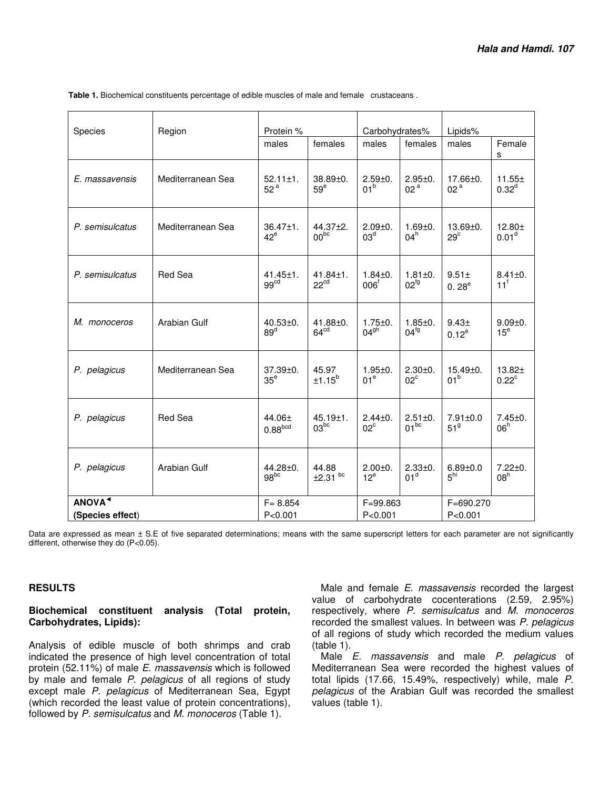| Species            | Protein %<br>Carbohydrates%<br>Region |                                    | Lipids%                            |                                 |                                   |                                   |                                  |
|--------------------|---------------------------------------|------------------------------------|------------------------------------|---------------------------------|-----------------------------------|-----------------------------------|----------------------------------|
|                    |                                       | males                              | females                            | males                           | females                           | males                             | Female<br>s                      |
| E. massavensis     | Mediterranean Sea                     | $52.11 \pm 1.$<br>52 <sup>a</sup>  | $38.89 + 0.$<br>59 <sup>e</sup>    | $2.59 + 0.$<br>01 <sup>b</sup>  | $2.95 \pm 0.$<br>02 <sup>a</sup>  | $17.66 \pm 0.$<br>02 <sup>a</sup> | $11.55 \pm$<br>$0.32^{d}$        |
| P. semisulcatus    | Mediterranean Sea                     | $36.47 \pm 1.$<br>$42^e$           | $44.37 \pm 2.$<br>00 <sub>pc</sub> | $2.09 + 0.$<br>03 <sup>d</sup>  | $1.69 + 0.$<br>$04^h$             | $13.69 + 0.$<br>29 <sup>c</sup>   | $12.80 +$<br>0.01 <sup>d</sup>   |
| P. semisulcatus    | <b>Red Sea</b>                        | $41.45 \pm 1.$<br>99 <sup>cd</sup> | $41.84 \pm 1.$<br>22 <sup>cd</sup> | $1.84 + 0.$<br>006 <sup>f</sup> | $1.81 \pm 0.$<br>$02^{fg}$        | $9.51 \pm$<br>0.28 <sup>e</sup>   | $8.41 \pm 0.$<br>$11^f$          |
| M. monoceros       | Arabian Gulf                          | $40.53 \pm 0.$<br>89 <sup>d</sup>  | $41.88 + 0.$<br>64 <sup>cd</sup>   | $1.75 + 0.$<br>04 <sup>gh</sup> | $1.85 + 0.$<br>04 <sup>fg</sup>   | 9.43±<br>$0.12^{e}$               | $9.09 + 0.$<br>15 <sup>e</sup>   |
| P. pelagicus       | Mediterranean Sea                     | $37.39 + 0.$<br>35 <sup>e</sup>    | 45.97<br>±1.15 <sup>b</sup>        | $1.95 + 0.$<br>01 <sup>e</sup>  | $2.30 + 0.$<br>$02^{\circ}$       | $15.49 \pm 0.$<br>01 <sup>b</sup> | 13.82±<br>$0.22^{\circ}$         |
| P. pelagicus       | <b>Red Sea</b>                        | $44.06 \pm$<br>0.88 <sup>bcd</sup> | $45.19 \pm 1.$<br>03 <sub>pc</sub> | $2.44 \pm 0.$<br>$02^{\circ}$   | $2.51 \pm 0.$<br>01 <sup>bc</sup> | $7.91 \pm 0.0$<br>51 <sup>9</sup> | $7.45 \pm 0.$<br>06 <sup>h</sup> |
| P. pelagicus       | Arabian Gulf                          | 44.28±0.<br>98 <sup>bc</sup>       | 44.88<br>$±2.31$ <sup>bc</sup>     | $2.00 + 0.$<br>$12^e$           | $2.33 + 0.$<br>01 <sup>d</sup>    | $6.89 + 0.0$<br>5 <sup>hi</sup>   | $7.22 \pm 0.$<br>08 <sup>h</sup> |
| ANOVA <sup>1</sup> | $F = 8.854$                           |                                    | $F = 99.863$                       |                                 | F=690.270                         |                                   |                                  |
| (Species effect)   | P < 0.001                             | P < 0.001                          |                                    | P < 0.001                       |                                   |                                   |                                  |

 **Table 1.** Biochemical constituents percentage of edible muscles of male and female crustaceans .

Data are expressed as mean  $\pm$  S.E of five separated determinations; means with the same superscript letters for each parameter are not significantly different, otherwise they do (P<0.05).

#### **RESULTS**

#### **Biochemical constituent analysis (Total protein, Carbohydrates, Lipids):**

Analysis of edible muscle of both shrimps and crab indicated the presence of high level concentration of total protein (52.11%) of male E. massavensis which is followed by male and female P. pelagicus of all regions of study except male P. pelagicus of Mediterranean Sea, Egypt (which recorded the least value of protein concentrations), followed by P. semisulcatus and M. monoceros (Table 1).

Male and female E. massavensis recorded the largest value of carbohydrate cocenterations (2.59, 2.95%) respectively, where P. semisulcatus and M. monoceros recorded the smallest values. In between was P. pelagicus of all regions of study which recorded the medium values (table 1).

Male E. massavensis and male P. pelagicus of Mediterranean Sea were recorded the highest values of total lipids (17.66, 15.49%, respectively) while, male P. pelagicus of the Arabian Gulf was recorded the smallest values (table 1).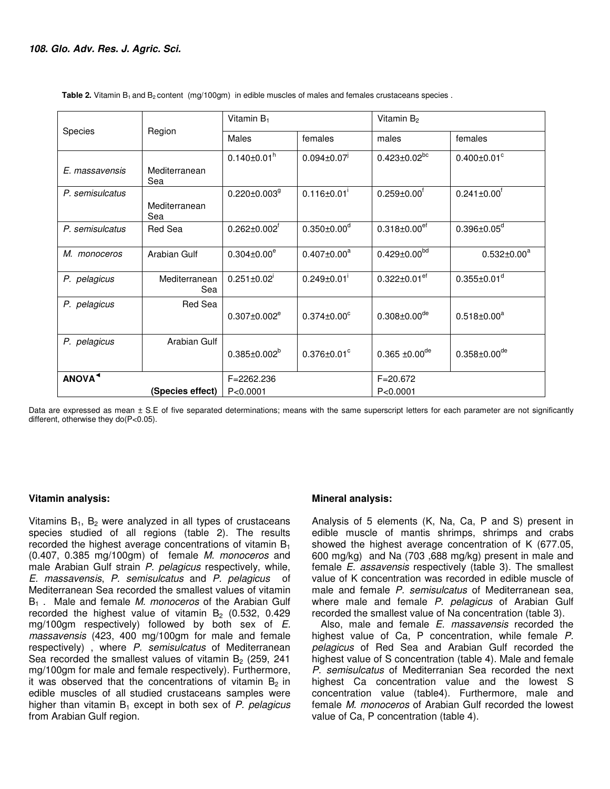|                                        |                      | Vitamin $B_1$                  |                               | Vitamin B <sub>2</sub>         |                                |  |
|----------------------------------------|----------------------|--------------------------------|-------------------------------|--------------------------------|--------------------------------|--|
| Species                                | Region               | <b>Males</b>                   | females                       | males                          | females                        |  |
| E. massavensis                         | Mediterranean<br>Sea | $0.140 \pm 0.01$ <sup>h</sup>  | $0.094 \pm 0.07$              | $0.423 \pm 0.02^{bc}$          | $0.400 \pm 0.01$ <sup>c</sup>  |  |
| P. semisulcatus                        | Mediterranean<br>Sea | $0.220 \pm 0.003$ <sup>g</sup> | $0.116 \pm 0.01$              | $0.259 \pm 0.00$ <sup>f</sup>  | $0.241 \pm 0.00$ <sup>f</sup>  |  |
| P. semisulcatus                        | Red Sea              | $0.262 \pm 0.002$ <sup>f</sup> | $0.350 \pm 0.00$ <sup>d</sup> | $0.318 \pm 0.00$ <sup>ef</sup> | $0.396 \pm 0.05$ <sup>d</sup>  |  |
| M. monoceros                           | Arabian Gulf         | $0.304 \pm 0.00^e$             | $0.407 \pm 0.00^a$            | $0.429 \pm 0.00^{bd}$          | $0.532 \pm 0.00^a$             |  |
| P. pelagicus                           | Mediterranean<br>Sea | $0.251 \pm 0.02$               | $0.249 \pm 0.01$              | $0.322 \pm 0.01$ ef            | $0.355 \pm 0.01$ <sup>d</sup>  |  |
| P. pelagicus                           | Red Sea              | $0.307 \pm 0.002^e$            | $0.374 \pm 0.00^{\circ}$      | $0.308 \pm 0.00$ <sup>de</sup> | $0.518 \pm 0.00^a$             |  |
| P. pelagicus                           | Arabian Gulf         | $0.385 \pm 0.002^b$            | $0.376 \pm 0.01$ <sup>c</sup> | $0.365 \pm 0.00$ <sup>de</sup> | $0.358 \pm 0.00$ <sup>de</sup> |  |
| ANOVA <sup>1</sup><br>(Species effect) |                      | F=2262.236<br>P < 0.0001       |                               | $F = 20.672$<br>P < 0.0001     |                                |  |

Table 2. Vitamin B<sub>1</sub> and B<sub>2</sub> content (mg/100gm) in edible muscles of males and females crustaceans species .

Data are expressed as mean ± S.E of five separated determinations; means with the same superscript letters for each parameter are not significantly different, otherwise they do(P<0.05).

#### **Vitamin analysis:**

Vitamins  $B_1$ ,  $B_2$  were analyzed in all types of crustaceans species studied of all regions (table 2). The results recorded the highest average concentrations of vitamin  $B_1$ (0.407, 0.385 mg/100gm) of female M. monoceros and male Arabian Gulf strain P. pelagicus respectively, while, E. massavensis, P. semisulcatus and P. pelagicus of Mediterranean Sea recorded the smallest values of vitamin  $B_1$ . Male and female *M. monoceros* of the Arabian Gulf recorded the highest value of vitamin  $B_2$  (0.532, 0.429 mg/100gm respectively) followed by both sex of E. massavensis (423, 400 mg/100gm for male and female respectively), where P. semisulcatus of Mediterranean Sea recorded the smallest values of vitamin  $B_2$  (259, 241 mg/100gm for male and female respectively). Furthermore, it was observed that the concentrations of vitamin  $B_2$  in edible muscles of all studied crustaceans samples were higher than vitamin  $B_1$  except in both sex of P. pelagicus from Arabian Gulf region.

#### **Mineral analysis:**

Analysis of 5 elements (K, Na, Ca, P and S) present in edible muscle of mantis shrimps, shrimps and crabs showed the highest average concentration of K (677.05, 600 mg/kg) and Na (703 ,688 mg/kg) present in male and female E. assavensis respectively (table 3). The smallest value of K concentration was recorded in edible muscle of male and female P. semisulcatus of Mediterranean sea, where male and female P. pelagicus of Arabian Gulf recorded the smallest value of Na concentration (table 3).

Also, male and female E. massavensis recorded the highest value of Ca, P concentration, while female P. pelagicus of Red Sea and Arabian Gulf recorded the highest value of S concentration (table 4). Male and female P. semisulcatus of Mediterranian Sea recorded the next highest Ca concentration value and the lowest S concentration value (table4). Furthermore, male and female M. monoceros of Arabian Gulf recorded the lowest value of Ca, P concentration (table 4).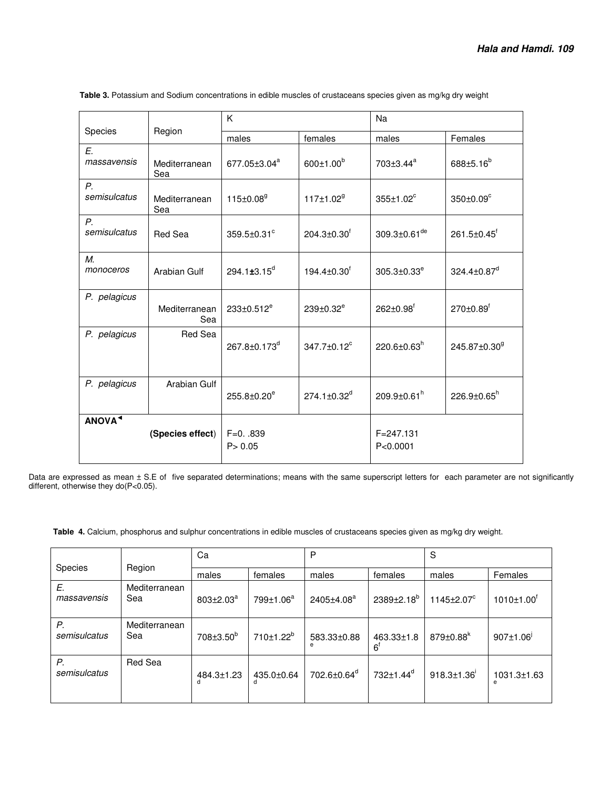|                                        |                      | K                        |                               | Na                        |                             |  |
|----------------------------------------|----------------------|--------------------------|-------------------------------|---------------------------|-----------------------------|--|
| Species                                | Region               | males                    | females                       | males                     | Females                     |  |
| E.<br>massavensis                      | Mediterranean<br>Sea | 677.05±3.04 <sup>a</sup> | $600 \pm 1.00^b$              | 703±3.44 <sup>a</sup>     | 688±5.16 <sup>b</sup>       |  |
| $P_{\cdot}$<br>semisulcatus            | Mediterranean<br>Sea | 115±0.08 <sup>9</sup>    | 117±1.02 <sup>9</sup>         | 355±1.02 <sup>c</sup>     | 350±0.09°                   |  |
| Ρ.<br>semisulcatus                     | Red Sea              | 359.5±0.31 <sup>c</sup>  | $204.3 \pm 0.30$ <sup>f</sup> | 309.3±0.61 <sup>de</sup>  | 261.5±0.45 <sup>f</sup>     |  |
| M.<br>monoceros                        | Arabian Gulf         | 294.1±3.15 <sup>d</sup>  | $194.4 \pm 0.30^f$            | $305.3 \pm 0.33^e$        | 324.4±0.87 <sup>d</sup>     |  |
| P. pelagicus                           | Mediterranean<br>Sea | 233±0.512 <sup>e</sup>   | 239±0.32 <sup>e</sup>         | 262±0.98 <sup>f</sup>     | $270 \pm 0.89$ <sup>f</sup> |  |
| P. pelagicus                           | Red Sea              | 267.8±0.173 <sup>d</sup> | 347.7±0.12 <sup>c</sup>       | 220.6±0.63 $^h$           | 245.87±0.30 <sup>9</sup>    |  |
| P. pelagicus                           | Arabian Gulf         | 255.8±0.20 <sup>e</sup>  | $274.1 \pm 0.32$ <sup>d</sup> | 209.9±0.61 <sup>h</sup>   | $226.9 \pm 0.65^h$          |  |
| ANOVA <sup>4</sup><br>(Species effect) |                      | $F=0.0839$<br>P > 0.05   |                               | $F = 247.131$<br>P<0.0001 |                             |  |

 **Table 3.** Potassium and Sodium concentrations in edible muscles of crustaceans species given as mg/kg dry weight

Data are expressed as mean ± S.E of five separated determinations; means with the same superscript letters for each parameter are not significantly different, otherwise they do(P<0.05).

 **Table 4.** Calcium, phosphorus and sulphur concentrations in edible muscles of crustaceans species given as mg/kg dry weight.

|                    |                      | Ca                    |                       | P                       |                                   | S                           |                              |
|--------------------|----------------------|-----------------------|-----------------------|-------------------------|-----------------------------------|-----------------------------|------------------------------|
| <b>Species</b>     | Region               | males                 | females               | males                   | females                           | males                       | Females                      |
| E.<br>massavensis  | Mediterranean<br>Sea | $803 \pm 2.03^a$      | 799±1.06 <sup>a</sup> | 2405±4.08 <sup>a</sup>  | $2389 \pm 2.18^b$                 | 1145±2.07 <sup>c</sup>      | $1010 \pm 1.00$ <sup>r</sup> |
| Р.<br>semisulcatus | Mediterranean<br>Sea | 708±3.50 <sup>b</sup> | 710±1.22 <sup>b</sup> | 583.33±0.88             | $463.33 \pm 1.8$<br>$6^{\dagger}$ | $879 \pm 0.88$ <sup>k</sup> | $907 \pm 1.06$               |
| Р.<br>semisulcatus | Red Sea              | 484.3±1.23            | 435.0±0.64<br>d       | 702.6±0.64 <sup>d</sup> | 732±1.44 <sup>d</sup>             | $918.3 \pm 1.36$            | 1031.3±1.63<br>e             |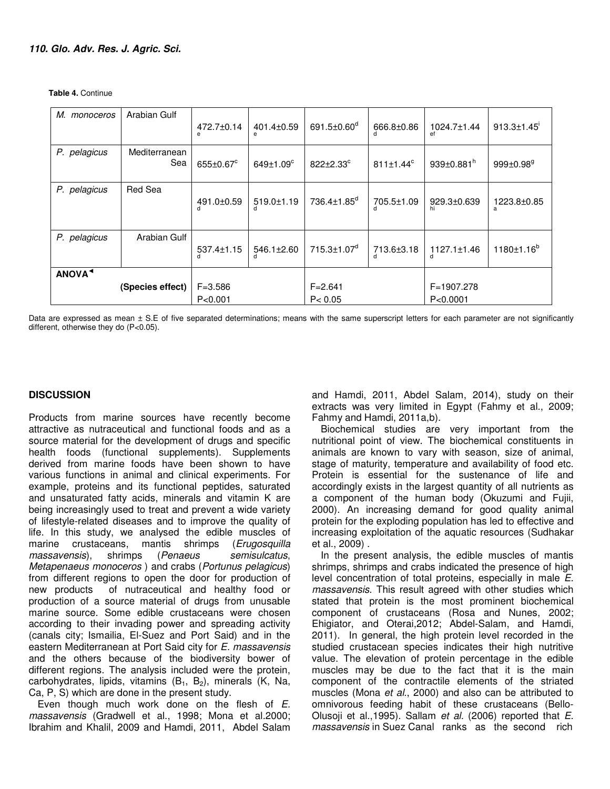**Table 4.** Continue

| М.<br>monoceros    | Arabian Gulf         | 472.7±0.14               | 401.4±0.59       | 691.5 $\pm$ 0.60 <sup>d</sup> | 666.8±0.86              | 1024.7±1.44   | 913.3±1.45               |  |
|--------------------|----------------------|--------------------------|------------------|-------------------------------|-------------------------|---------------|--------------------------|--|
| P. pelagicus       | Mediterranean<br>Sea | $655 \pm 0.67^c$         | $649 \pm 1.09^c$ | 822±2.33 <sup>c</sup>         | $811 \pm 1.44^c$        | 939±0.881 $h$ | $999{\pm}0.98^9$         |  |
| P. pelagicus       | Red Sea              | 491.0±0.59               | 519.0±1.19       | 736.4±1.85 <sup>d</sup>       | 705.5±1.09              | 929.3±0.639   | 1223.8±0.85<br>a         |  |
| P. pelagicus       | Arabian Gulf         | 537.4±1.15               | 546.1±2.60       | 715.3±1.07 <sup>d</sup>       | 713.6±3.18              | 1127.1±1.46   | 1180±1.16 <sup>b</sup>   |  |
| ANOVA <sup>4</sup> |                      |                          |                  |                               |                         |               |                          |  |
| (Species effect)   |                      | $F = 3.586$<br>P < 0.001 |                  |                               | $F = 2.641$<br>P < 0.05 |               | F=1907.278<br>P < 0.0001 |  |

Data are expressed as mean ± S.E of five separated determinations; means with the same superscript letters for each parameter are not significantly different, otherwise they do (P<0.05).

#### **DISCUSSION**

Products from marine sources have recently become attractive as nutraceutical and functional foods and as a source material for the development of drugs and specific health foods (functional supplements). Supplements derived from marine foods have been shown to have various functions in animal and clinical experiments. For example, proteins and its functional peptides, saturated and unsaturated fatty acids, minerals and vitamin K are being increasingly used to treat and prevent a wide variety of lifestyle-related diseases and to improve the quality of life. In this study, we analysed the edible muscles of marine crustaceans, mantis shrimps (Erugosquilla massavensis), shrimps (Penaeus semisulcatus, Metapenaeus monoceros ) and crabs (Portunus pelagicus) from different regions to open the door for production of new products of nutraceutical and healthy food or production of a source material of drugs from unusable marine source. Some edible crustaceans were chosen according to their invading power and spreading activity (canals city; Ismailia, El-Suez and Port Said) and in the eastern Mediterranean at Port Said city for E. massavensis and the others because of the biodiversity bower of different regions. The analysis included were the protein, carbohydrates, lipids, vitamins  $(B_1, B_2)$ , minerals  $(K, Na,$ Ca, P, S) which are done in the present study.

Even though much work done on the flesh of E. massavensis (Gradwell et al., 1998; Mona et al.2000; Ibrahim and Khalil, 2009 and Hamdi, 2011, Abdel Salam and Hamdi, 2011, Abdel Salam, 2014), study on their extracts was very limited in Egypt (Fahmy et al., 2009; Fahmy and Hamdi, 2011a,b).

Biochemical studies are very important from the nutritional point of view. The biochemical constituents in animals are known to vary with season, size of animal, stage of maturity, temperature and availability of food etc. Protein is essential for the sustenance of life and accordingly exists in the largest quantity of all nutrients as a component of the human body (Okuzumi and Fujii, 2000). An increasing demand for good quality animal protein for the exploding population has led to effective and increasing exploitation of the aquatic resources (Sudhakar et al., 2009) .

In the present analysis, the edible muscles of mantis shrimps, shrimps and crabs indicated the presence of high level concentration of total proteins, especially in male E. massavensis. This result agreed with other studies which stated that protein is the most prominent biochemical component of crustaceans (Rosa and Nunes, 2002; Ehigiator, and Oterai,2012; Abdel-Salam, and Hamdi, 2011). In general, the high protein level recorded in the studied crustacean species indicates their high nutritive value. The elevation of protein percentage in the edible muscles may be due to the fact that it is the main component of the contractile elements of the striated muscles (Mona et al., 2000) and also can be attributed to omnivorous feeding habit of these crustaceans (Bello-Olusoji et al.,1995). Sallam et al. (2006) reported that E. massavensis in Suez Canal ranks as the second rich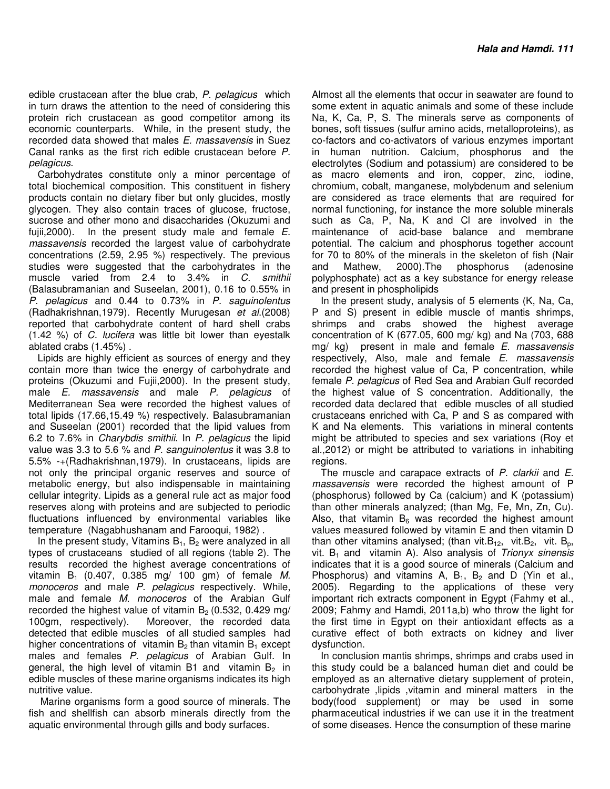edible crustacean after the blue crab, P. pelagicus which in turn draws the attention to the need of considering this protein rich crustacean as good competitor among its economic counterparts. While, in the present study, the recorded data showed that males E. massavensis in Suez Canal ranks as the first rich edible crustacean before P. pelagicus.

Carbohydrates constitute only a minor percentage of total biochemical composition. This constituent in fishery products contain no dietary fiber but only glucides, mostly glycogen. They also contain traces of glucose, fructose, sucrose and other mono and disaccharides (Okuzumi and fujii, 2000). In the present study male and female  $E$ . massavensis recorded the largest value of carbohydrate concentrations (2.59, 2.95 %) respectively. The previous studies were suggested that the carbohydrates in the muscle varied from 2.4 to 3.4% in C. smithii (Balasubramanian and Suseelan, 2001), 0.16 to 0.55% in P. pelagicus and 0.44 to 0.73% in P. saguinolentus (Radhakrishnan,1979). Recently Murugesan et al.(2008) reported that carbohydrate content of hard shell crabs (1.42 %) of C. lucifera was little bit lower than eyestalk ablated crabs (1.45%) .

Lipids are highly efficient as sources of energy and they contain more than twice the energy of carbohydrate and proteins (Okuzumi and Fujii,2000). In the present study, male E. massavensis and male P. pelagicus of Mediterranean Sea were recorded the highest values of total lipids (17.66,15.49 %) respectively. Balasubramanian and Suseelan (2001) recorded that the lipid values from 6.2 to 7.6% in Charybdis smithii. In P. pelagicus the lipid value was 3.3 to 5.6 % and P. sanguinolentus it was 3.8 to 5.5% -+(Radhakrishnan,1979). In crustaceans, lipids are not only the principal organic reserves and source of metabolic energy, but also indispensable in maintaining cellular integrity. Lipids as a general rule act as major food reserves along with proteins and are subjected to periodic fluctuations influenced by environmental variables like temperature (Nagabhushanam and Farooqui, 1982) .

In the present study, Vitamins  $B_1$ ,  $B_2$  were analyzed in all types of crustaceans studied of all regions (table 2). The results recorded the highest average concentrations of vitamin  $B_1$  (0.407, 0.385 mg/ 100 gm) of female M. monoceros and male P. pelagicus respectively. While, male and female M. monoceros of the Arabian Gulf recorded the highest value of vitamin  $B_2$  (0.532, 0.429 mg/ 100gm, respectively). Moreover, the recorded data Moreover, the recorded data detected that edible muscles of all studied samples had higher concentrations of vitamin  $B_2$  than vitamin  $B_1$  except males and females P. pelagicus of Arabian Gulf. In general, the high level of vitamin B1 and vitamin  $B_2$  in edible muscles of these marine organisms indicates its high nutritive value.

 Marine organisms form a good source of minerals. The fish and shellfish can absorb minerals directly from the aquatic environmental through gills and body surfaces.

Almost all the elements that occur in seawater are found to some extent in aquatic animals and some of these include Na, K, Ca, P, S. The minerals serve as components of bones, soft tissues (sulfur amino acids, metalloproteins), as co-factors and co-activators of various enzymes important in human nutrition. Calcium, phosphorus and the electrolytes (Sodium and potassium) are considered to be as macro elements and iron, copper, zinc, iodine, chromium, cobalt, manganese, molybdenum and selenium are considered as trace elements that are required for normal functioning, for instance the more soluble minerals such as Ca, P, Na, K and Cl are involved in the maintenance of acid-base balance and membrane potential. The calcium and phosphorus together account for 70 to 80% of the minerals in the skeleton of fish (Nair and Mathew, 2000).The phosphorus (adenosine polyphosphate) act as a key substance for energy release and present in phospholipids

In the present study, analysis of 5 elements (K, Na, Ca, P and S) present in edible muscle of mantis shrimps, shrimps and crabs showed the highest average concentration of K (677.05, 600 mg/ kg) and Na (703, 688 mg/ kg) present in male and female E. massavensis respectively, Also, male and female E. massavensis recorded the highest value of Ca, P concentration, while female P. pelagicus of Red Sea and Arabian Gulf recorded the highest value of S concentration. Additionally, the recorded data declared that edible muscles of all studied crustaceans enriched with Ca, P and S as compared with K and Na elements. This variations in mineral contents might be attributed to species and sex variations (Roy et al.,2012) or might be attributed to variations in inhabiting regions.

The muscle and carapace extracts of P. clarkii and E. massavensis were recorded the highest amount of P (phosphorus) followed by Ca (calcium) and K (potassium) than other minerals analyzed; (than Mg, Fe, Mn, Zn, Cu). Also, that vitamin  $B_6$  was recorded the highest amount values measured followed by vitamin E and then vitamin D than other vitamins analysed; (than vit. B<sub>12</sub>, vit. B<sub>2</sub>, vit. B<sub>p</sub>, vit.  $B_1$  and vitamin A). Also analysis of Trionyx sinensis indicates that it is a good source of minerals (Calcium and Phosphorus) and vitamins A,  $B_1$ ,  $B_2$  and D (Yin et al., 2005). Regarding to the applications of these very important rich extracts component in Egypt (Fahmy et al., 2009; Fahmy and Hamdi, 2011a,b) who throw the light for the first time in Egypt on their antioxidant effects as a curative effect of both extracts on kidney and liver dysfunction.

In conclusion mantis shrimps, shrimps and crabs used in this study could be a balanced human diet and could be employed as an alternative dietary supplement of protein, carbohydrate ,lipids ,vitamin and mineral matters in the body(food supplement) or may be used in some pharmaceutical industries if we can use it in the treatment of some diseases. Hence the consumption of these marine